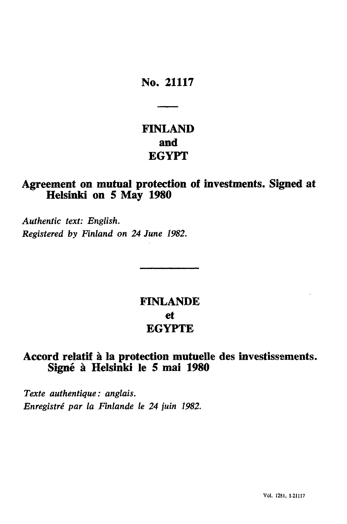### **No. 21117**

# **FINLAND and EGYPT**

# **Agreement on mutual protection of investments. Signed at Helsinki on 5 May 1980**

*Authentic text: English. Registered by Finland on 24 June 1982.*

> **FINLANDE et EGYPTE**

## **Accord relatif à la protection mutuelle des investissements. Signé à Helsinki le 5 mai 1980**

*Texte authentique: anglais. Enregistré par la Finlande le 24 juin 1982.*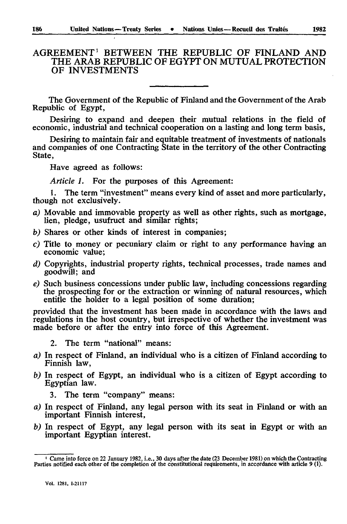#### AGREEMENT<sup>1</sup> BETWEEN THE REPUBLIC OF FINLAND AND THE ARAB REPUBLIC OF EGYPT ON MUTUAL PROTECTION OF INVESTMENTS

The Government of the Republic of Finland and the Government of the Arab Republic of Egypt,

Desiring to expand and deepen their mutual relations in the field of economic, industrial and technical cooperation on a lasting and long term basis,

Desiring to maintain fair and equitable treatment of investments of nationals and companies of one Contracting State in the territory of the other Contracting State,

Have agreed as follows:

*Article 1.* For the purposes of this Agreement:

1. The term "investment" means every kind of asset and more particularly, though not exclusively.

- *a)* Movable and immovable property as well as other rights, such as mortgage, lien, pledge, usufruct and similar rights;
- *b)* Shares or other kinds of interest in companies;
- *c)* Title to money or pecuniary claim or right to any performance having an economic value;
- *d)* Copyrights, industrial property rights, technical processes, trade names and goodwill; and
- *e)* Such business concessions under public law, including concessions regarding the prospecting for or the extraction or winning of natural resources, which entitle the holder to a legal position of some duration;

provided that the investment has been made in accordance with the laws and regulations in the host country, but irrespective of whether the investment was made before or after the entry into force of this Agreement.

- 2. The term "national" means:
- *a)* In respect of Finland, an individual who is a citizen of Finland according to Finnish law,
- *b)* In respect of Egypt, an individual who is a citizen of Egypt according to Egyptian law.

3. The term "company" means:

- *a)* In respect of Finland, any legal person with its seat in Finland or with an important Finnish interest,
- *b)* In respect of Egypt, any legal person with its seat in Egypt or with an important Egyptian interest.

<sup>&</sup>lt;sup>1</sup> Came into force on 22 January 1982, i.e., 30 days after the date (23 December 1981) on which the Contracting Parties notified each other of the completion of the constitutional requirements, in accordance with article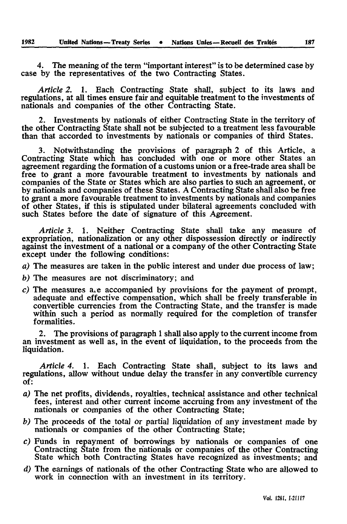4. The meaning of the term "important interest" is to be determined case by case by the representatives of the two Contracting States.

*Article 2.* 1. Each Contracting State shall, subject to its laws and regulations, at all times ensure fair and equitable treatment to the investments of nationals and companies of the other Contracting State.

2. Investments by nationals of either Contracting State in the territory of the other Contracting State shall not be subjected to a treatment less favourable than that accorded to investments by nationals or companies of third States.

3. Notwithstanding the provisions of paragraph 2 of this Article, a Contracting State which has concluded with one or more other States an agreement regarding the formation of a customs union or a free-trade area shall be free to grant a more favourable treatment to investments by nationals and companies of the State or States which are also parties to such an agreement, or by nationals and companies of these States. A Contracting State shall also be free to grant a more favourable treatment to investments by nationals and companies of other States, if this is stipulated under bilateral agreements concluded with such States before the date of signature of this Agreement.

*Article 3.* 1. Neither Contracting State shall take any measure of expropriation, nationalization or any other dispossession directly or indirectly against the investment of a national or a company of the other Contracting State except under the following conditions:

- *a)* The measures are taken in the public interest and under due process of law;
- *b)* The measures are not discriminatory; and
- $c)$  The measures a.e accompanied by provisions for the payment of prompt, adequate and effective compensation, which shall be freely transferable in convertible currencies from the Contracting State, and the transfer is made within such a period as normally required for the completion of transfer formalities.

2. The provisions of paragraph 1 shall also apply to the current income from an investment as well as, in the event of liquidation, to the proceeds from the liquidation.

*Article 4.* 1. Each Contracting State shall, subject to its laws and regulations, allow without undue delay the transfer in any convertible currency of:

- *a)* The net profits, dividends, royalties, technical assistance and other technical fees, interest and other current income accruing from any investment of the nationals or companies of the other Contracting State;
- *b)* The proceeds of the total or partial liquidation of any investment made by nationals or companies of the other Contracting State;
- *c)* Funds in repayment of borrowings by nationals or companies of one Contracting State from the nationals or companies of the other Contracting State which both Contracting States have recognized as investments; and
- *d)* The earnings of nationals of the other Contracting State who are allowed to work in connection with an investment in its territory.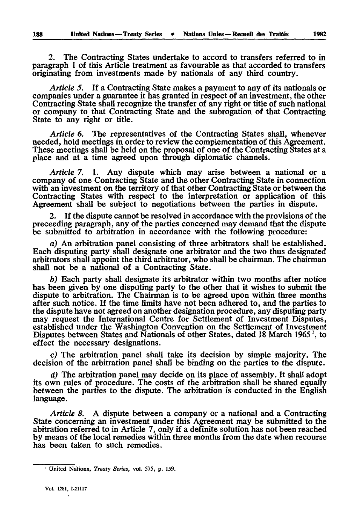2. The Contracting States undertake to accord to transfers referred to in paragraph 1 of this Article treatment as favourable as that accorded to transfers originating from investments made by nationals of any third country.

*Article 5.* If a Contracting State makes a payment to any of its nationals or companies under a guarantee it has granted in respect of an investment, the other Contracting State shall recognize the transfer of any right or title of such national or company to that Contracting State and the subrogation of that Contracting State to any right or title.

*Article 6.* The representatives of the Contracting States shall, whenever needed, hold meetings in order to review the complementation of this Agreement. These meetings shall be held on the proposal of one of the Contracting States at a place and at a time agreed upon through diplomatic channels.

*Article 7.* 1. Any dispute which may arise between a national or a company of one Contracting State and the other Contracting State in connection with an investment on the territory of that other Contracting State or between the Contracting States with respect to the interpretation or application of this Agreement shall be subject to negotiations between the parties in dispute.

2. If the dispute cannot be resolved in accordance with the provisions of the preceeding paragraph, any of the parties concerned may demand that the dispute be submitted to arbitration in accordance with the following procedure:

*a)* An arbitration panel consisting of three arbitrators shall be established. Each disputing party shall designate one arbitrator and the two thus designated arbitrators shall appoint the third arbitrator, who shall be chairman. The chairman shall not be a national of a Contracting State.

*b)* Each party shall designate its arbitrator within two months after notice has been given by one disputing party to the other that it wishes to submit the dispute to arbitration. The Chairman is to be agreed upon within three months after such notice. If the time limits have not been adhered to, and the parties to the dispute have not agreed on another designation procedure, any disputing party may request the International Centre for Settlement of Investment Disputes, established under the Washington Convention on the Settlement of Investment Disputes between States and Nationals of other States, dated 18 March 1965 ', to effect the necessary designations.

*c)* The arbitration panel shall take its decision by simple majority. The decision of the arbitration panel shall be binding on the parties to the dispute.

*d)* The arbitration panel may decide on its place of assembly. It shall adopt its own rules of procedure. The costs of the arbitration shall be shared equally between the parties to the dispute. The arbitration is conducted in the English language.

*Article 8.* A dispute between a company or a national and a Contracting State concerning an investment under this Agreement may be submitted to the abitration referred to in Article 7, only if a definite solution has not been reached by means of the local remedies within three months from the date when recourse has been taken to such remedies.

<sup>1</sup> United Nations, *Treaty Series,* vol. 575, p. 159.